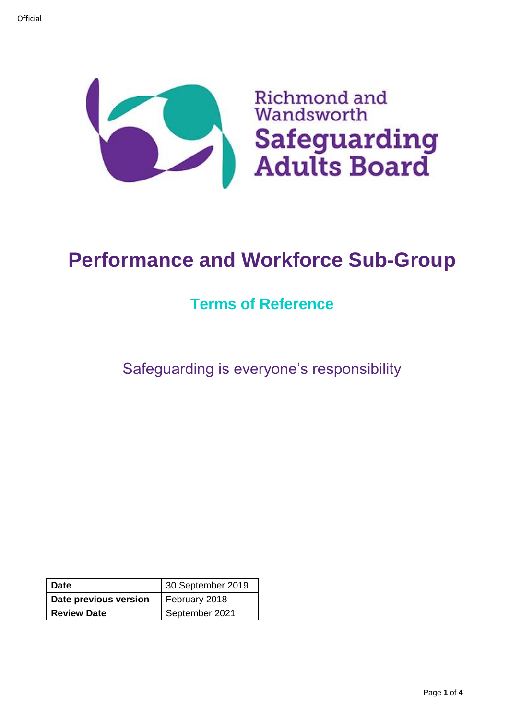

# **Performance and Workforce Sub-Group**

# **Terms of Reference**

Safeguarding is everyone's responsibility

| <b>Date</b>           | 30 September 2019 |  |
|-----------------------|-------------------|--|
| Date previous version | February 2018     |  |
| <b>Review Date</b>    | September 2021    |  |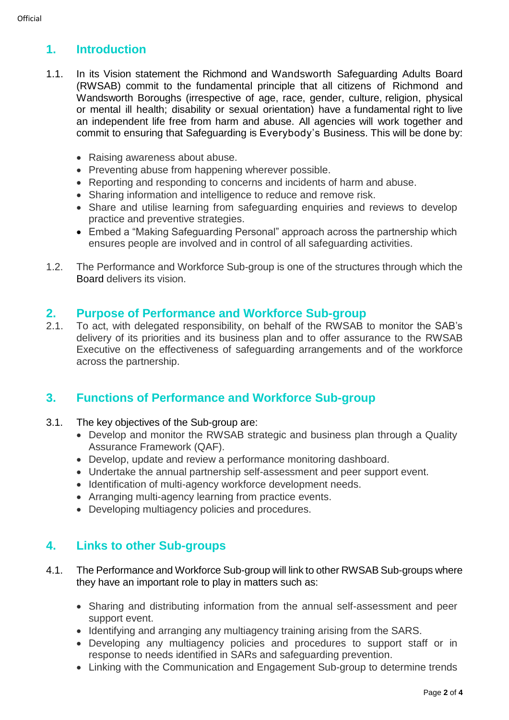# **1. Introduction**

- 1.1. In its Vision statement the Richmond and Wandsworth Safeguarding Adults Board (RWSAB) commit to the fundamental principle that all citizens of Richmond and Wandsworth Boroughs (irrespective of age, race, gender, culture, religion, physical or mental ill health; disability or sexual orientation) have a fundamental right to live an independent life free from harm and abuse. All agencies will work together and commit to ensuring that Safeguarding is Everybody's Business. This will be done by:
	- Raising awareness about abuse.
	- Preventing abuse from happening wherever possible.
	- Reporting and responding to concerns and incidents of harm and abuse.
	- Sharing information and intelligence to reduce and remove risk.
	- Share and utilise learning from safeguarding enquiries and reviews to develop practice and preventive strategies.
	- Embed a "Making Safeguarding Personal" approach across the partnership which ensures people are involved and in control of all safeguarding activities.
- 1.2. The Performance and Workforce Sub-group is one of the structures through which the Board delivers its vision.

#### **2. Purpose of Performance and Workforce Sub-group**

2.1. To act, with delegated responsibility, on behalf of the RWSAB to monitor the SAB's delivery of its priorities and its business plan and to offer assurance to the RWSAB Executive on the effectiveness of safeguarding arrangements and of the workforce across the partnership.

# **3. Functions of Performance and Workforce Sub-group**

- 3.1. The key objectives of the Sub-group are:
	- Develop and monitor the RWSAB strategic and business plan through a Quality Assurance Framework (QAF).
	- Develop, update and review a performance monitoring dashboard.
	- Undertake the annual partnership self-assessment and peer support event.
	- Identification of multi-agency workforce development needs.
	- Arranging multi-agency learning from practice events.
	- Developing multiagency policies and procedures.

# **4. Links to other Sub-groups**

- 4.1. The Performance and Workforce Sub-group will link to other RWSAB Sub-groups where they have an important role to play in matters such as:
	- Sharing and distributing information from the annual self-assessment and peer support event.
	- Identifying and arranging any multiagency training arising from the SARS.
	- Developing any multiagency policies and procedures to support staff or in response to needs identified in SARs and safeguarding prevention.
	- Linking with the Communication and Engagement Sub-group to determine trends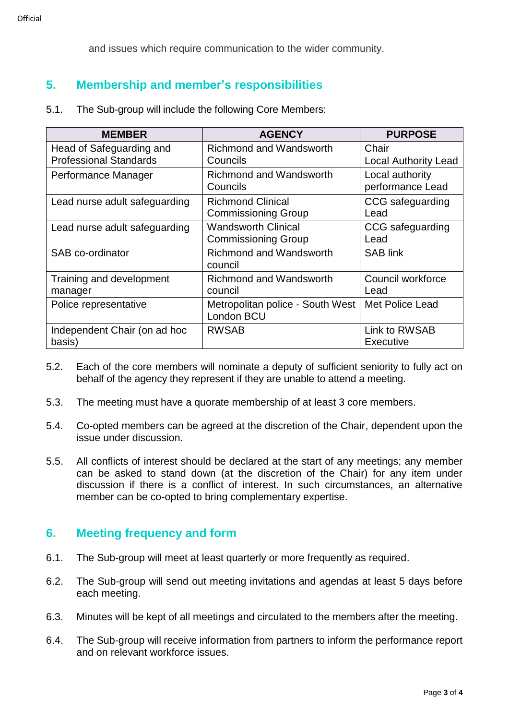and issues which require communication to the wider community.

# **5. Membership and member's responsibilities**

5.1. The Sub-group will include the following Core Members:

| <b>MEMBER</b>                 | <b>AGENCY</b>                                          | <b>PURPOSE</b>                      |
|-------------------------------|--------------------------------------------------------|-------------------------------------|
| Head of Safeguarding and      | <b>Richmond and Wandsworth</b>                         | Chair                               |
| <b>Professional Standards</b> | Councils                                               | <b>Local Authority Lead</b>         |
| Performance Manager           | <b>Richmond and Wandsworth</b><br>Councils             | Local authority<br>performance Lead |
| Lead nurse adult safeguarding | <b>Richmond Clinical</b><br><b>Commissioning Group</b> | CCG safeguarding<br>Lead            |
| Lead nurse adult safeguarding | <b>Wandsworth Clinical</b>                             | CCG safeguarding                    |
|                               | <b>Commissioning Group</b>                             | Lead                                |
| SAB co-ordinator              | <b>Richmond and Wandsworth</b><br>council              | <b>SAB link</b>                     |
| Training and development      | <b>Richmond and Wandsworth</b>                         | Council workforce                   |
| manager                       | council                                                | Lead                                |
| Police representative         | Metropolitan police - South West<br>London BCU         | Met Police Lead                     |
| Independent Chair (on ad hoc  | <b>RWSAB</b>                                           | Link to RWSAB                       |
| basis)                        |                                                        | <b>Executive</b>                    |

- 5.2. Each of the core members will nominate a deputy of sufficient seniority to fully act on behalf of the agency they represent if they are unable to attend a meeting.
- 5.3. The meeting must have a quorate membership of at least 3 core members.
- 5.4. Co-opted members can be agreed at the discretion of the Chair, dependent upon the issue under discussion.
- 5.5. All conflicts of interest should be declared at the start of any meetings; any member can be asked to stand down (at the discretion of the Chair) for any item under discussion if there is a conflict of interest. In such circumstances, an alternative member can be co-opted to bring complementary expertise.

## **6. Meeting frequency and form**

- 6.1. The Sub-group will meet at least quarterly or more frequently as required.
- 6.2. The Sub-group will send out meeting invitations and agendas at least 5 days before each meeting.
- 6.3. Minutes will be kept of all meetings and circulated to the members after the meeting.
- 6.4. The Sub-group will receive information from partners to inform the performance report and on relevant workforce issues.